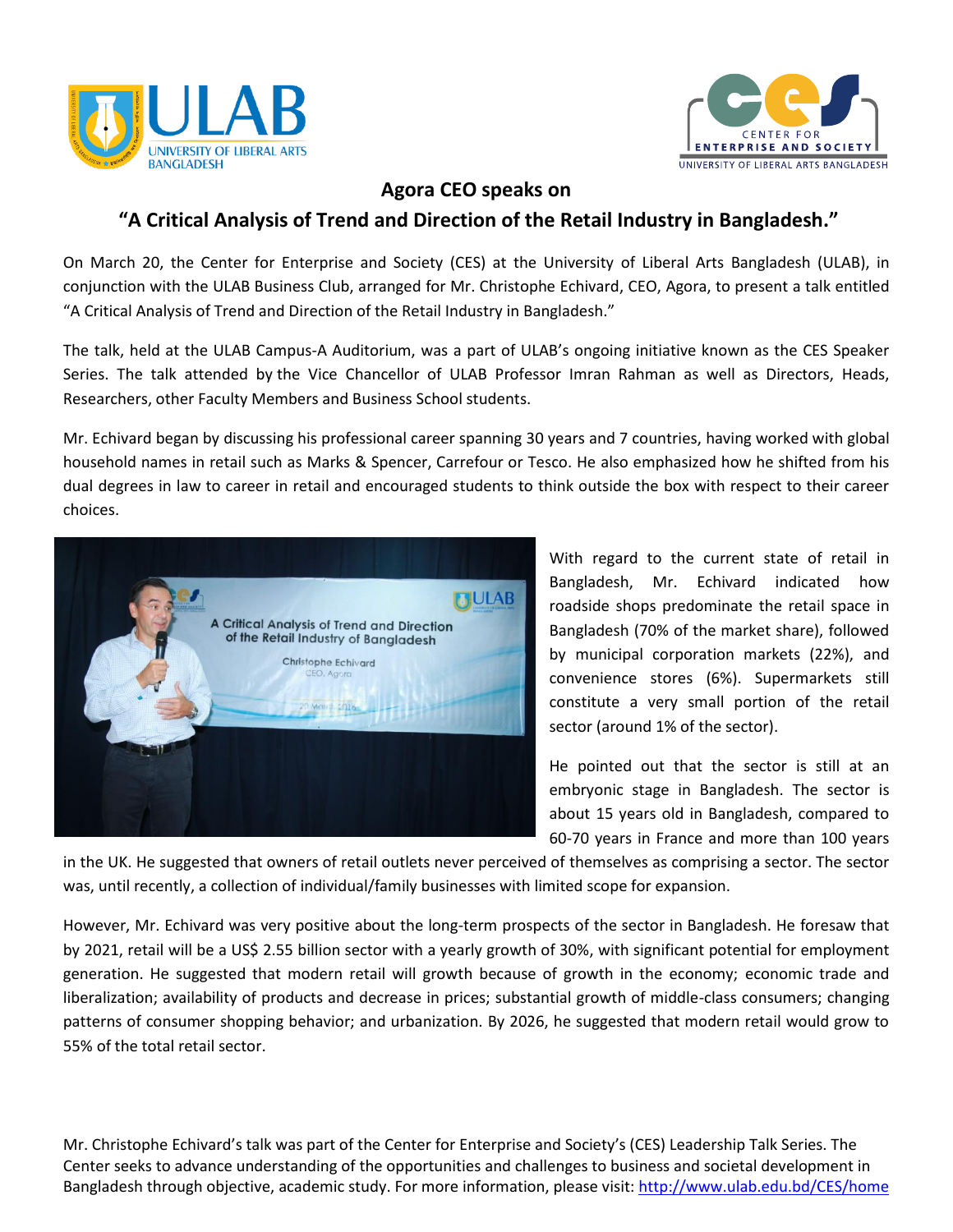



## **Agora CEO speaks on**

## **"A Critical Analysis of Trend and Direction of the Retail Industry in Bangladesh."**

On March 20, the Center for Enterprise and Society (CES) at the University of Liberal Arts Bangladesh (ULAB), in conjunction with the ULAB Business Club, arranged for Mr. Christophe Echivard, CEO, Agora, to present a talk entitled "A Critical Analysis of Trend and Direction of the Retail Industry in Bangladesh."

The talk, held at the ULAB Campus-A Auditorium, was a part of ULAB's ongoing initiative known as the CES Speaker Series. The talk attended by the Vice Chancellor of ULAB Professor Imran Rahman as well as Directors, Heads, Researchers, other Faculty Members and Business School students.

Mr. Echivard began by discussing his professional career spanning 30 years and 7 countries, having worked with global household names in retail such as Marks & Spencer, Carrefour or Tesco. He also emphasized how he shifted from his dual degrees in law to career in retail and encouraged students to think outside the box with respect to their career choices.



With regard to the current state of retail in Bangladesh, Mr. Echivard indicated how roadside shops predominate the retail space in Bangladesh (70% of the market share), followed by municipal corporation markets (22%), and convenience stores (6%). Supermarkets still constitute a very small portion of the retail sector (around 1% of the sector).

He pointed out that the sector is still at an embryonic stage in Bangladesh. The sector is about 15 years old in Bangladesh, compared to 60-70 years in France and more than 100 years

in the UK. He suggested that owners of retail outlets never perceived of themselves as comprising a sector. The sector was, until recently, a collection of individual/family businesses with limited scope for expansion.

However, Mr. Echivard was very positive about the long-term prospects of the sector in Bangladesh. He foresaw that by 2021, retail will be a US\$ 2.55 billion sector with a yearly growth of 30%, with significant potential for employment generation. He suggested that modern retail will growth because of growth in the economy; economic trade and liberalization; availability of products and decrease in prices; substantial growth of middle-class consumers; changing patterns of consumer shopping behavior; and urbanization. By 2026, he suggested that modern retail would grow to 55% of the total retail sector.

Mr. Christophe Echivard's talk was part of the Center for Enterprise and Society's (CES) Leadership Talk Series. The Center seeks to advance understanding of the opportunities and challenges to business and societal development in Bangladesh through objective, academic study. For more information, please visit:<http://www.ulab.edu.bd/CES/home>